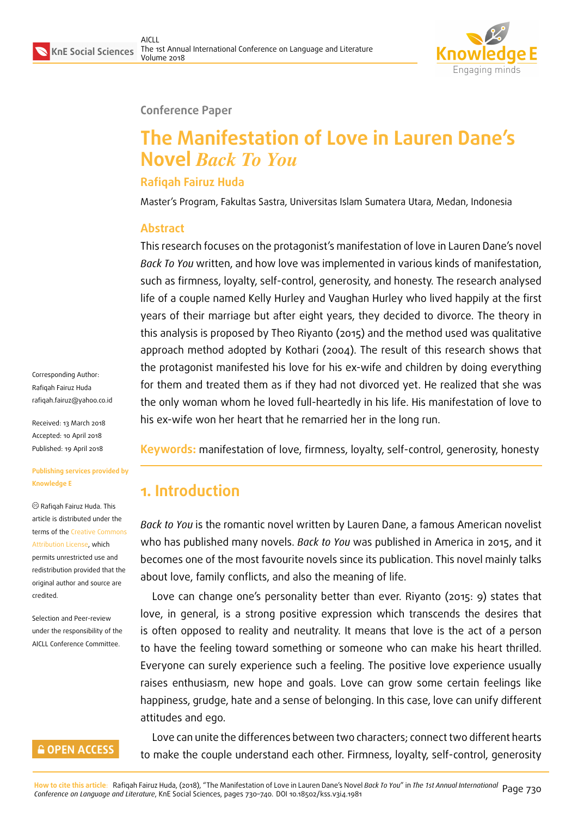

#### **Conference Paper**

# **The Manifestation of Love in Lauren Dane's Novel** *Back To You*

### **Rafiqah Fairuz Huda**

Master's Program, Fakultas Sastra, Universitas Islam Sumatera Utara, Medan, Indonesia

#### **Abstract**

This research focuses on the protagonist's manifestation of love in Lauren Dane's novel *Back To You* written, and how love was implemented in various kinds of manifestation, such as firmness, loyalty, self-control, generosity, and honesty. The research analysed life of a couple named Kelly Hurley and Vaughan Hurley who lived happily at the first years of their marriage but after eight years, they decided to divorce. The theory in this analysis is proposed by Theo Riyanto (2015) and the method used was qualitative approach method adopted by Kothari (2004). The result of this research shows that the protagonist manifested his love for his ex-wife and children by doing everything for them and treated them as if they had not divorced yet. He realized that she was the only woman whom he loved full-heartedly in his life. His manifestation of love to his ex-wife won her heart that he remarried her in the long run.

Corresponding Author: Rafiqah Fairuz Huda rafiqah.fairuz@yahoo.co.id

Received: 13 March 2018 Accepted: 10 April 2018 [Published: 19 April 2018](mailto:rafiqah.fairuz@yahoo.co.id)

#### **Publishing services provided by Knowledge E**

Rafiqah Fairuz Huda. This article is distributed under the terms of the Creative Commons Attribution License, which permits unrestricted use and redistribution provided that the original auth[or and source are](https://creativecommons.org/licenses/by/4.0/) [credited.](https://creativecommons.org/licenses/by/4.0/)

Selection and Peer-review under the responsibility of the AICLL Conference Committee.

### **GOPEN ACCESS**

**Keywords:** manifestation of love, firmness, loyalty, self-control, generosity, honesty

## **1. Introduction**

*Back to You* is the romantic novel written by Lauren Dane, a famous American novelist who has published many novels. *Back to You* was published in America in 2015, and it becomes one of the most favourite novels since its publication. This novel mainly talks about love, family conflicts, and also the meaning of life.

Love can change one's personality better than ever. Riyanto (2015: 9) states that love, in general, is a strong positive expression which transcends the desires that is often opposed to reality and neutrality. It means that love is the act of a person to have the feeling toward something or someone who can make his heart thrilled. Everyone can surely experience such a feeling. The positive love experience usually raises enthusiasm, new hope and goals. Love can grow some certain feelings like happiness, grudge, hate and a sense of belonging. In this case, love can unify different attitudes and ego.

Love can unite the differences between two characters; connect two different hearts to make the couple understand each other. Firmness, loyalty, self-control, generosity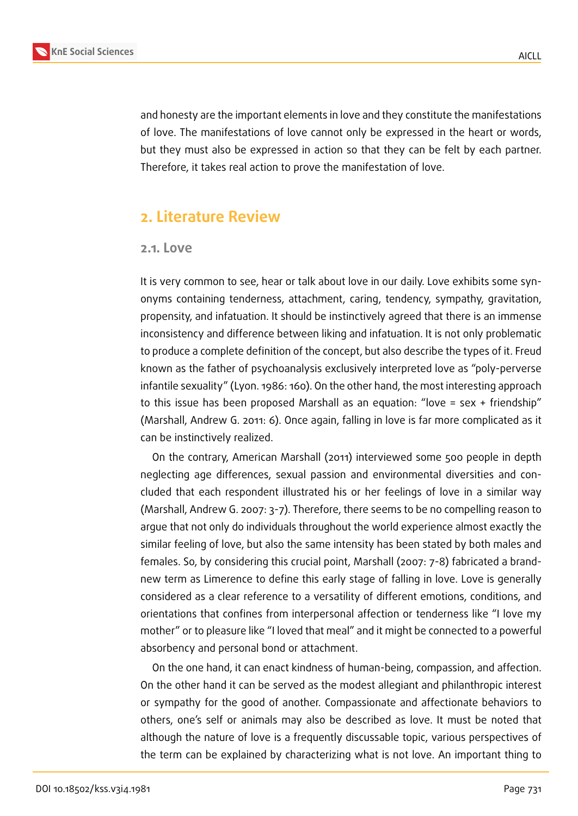

and honesty are the important elements in love and they constitute the manifestations of love. The manifestations of love cannot only be expressed in the heart or words, but they must also be expressed in action so that they can be felt by each partner. Therefore, it takes real action to prove the manifestation of love.

### **2. Literature Review**

#### **2.1. Love**

It is very common to see, hear or talk about love in our daily. Love exhibits some synonyms containing tenderness, attachment, caring, tendency, sympathy, gravitation, propensity, and infatuation. It should be instinctively agreed that there is an immense inconsistency and difference between liking and infatuation. It is not only problematic to produce a complete definition of the concept, but also describe the types of it. Freud known as the father of psychoanalysis exclusively interpreted love as "poly-perverse infantile sexuality" (Lyon. 1986: 160). On the other hand, the most interesting approach to this issue has been proposed Marshall as an equation: "love = sex + friendship" (Marshall, Andrew G. 2011: 6). Once again, falling in love is far more complicated as it can be instinctively realized.

On the contrary, American Marshall (2011) interviewed some 500 people in depth neglecting age differences, sexual passion and environmental diversities and concluded that each respondent illustrated his or her feelings of love in a similar way (Marshall, Andrew G. 2007: 3-7). Therefore, there seems to be no compelling reason to argue that not only do individuals throughout the world experience almost exactly the similar feeling of love, but also the same intensity has been stated by both males and females. So, by considering this crucial point, Marshall (2007: 7-8) fabricated a brandnew term as Limerence to define this early stage of falling in love. Love is generally considered as a clear reference to a versatility of different emotions, conditions, and orientations that confines from interpersonal affection or tenderness like "I love my mother" or to pleasure like "I loved that meal" and it might be connected to a powerful absorbency and personal bond or attachment.

On the one hand, it can enact kindness of human-being, compassion, and affection. On the other hand it can be served as the modest allegiant and philanthropic interest or sympathy for the good of another. Compassionate and affectionate behaviors to others, one's self or animals may also be described as love. It must be noted that although the nature of love is a frequently discussable topic, various perspectives of the term can be explained by characterizing what is not love. An important thing to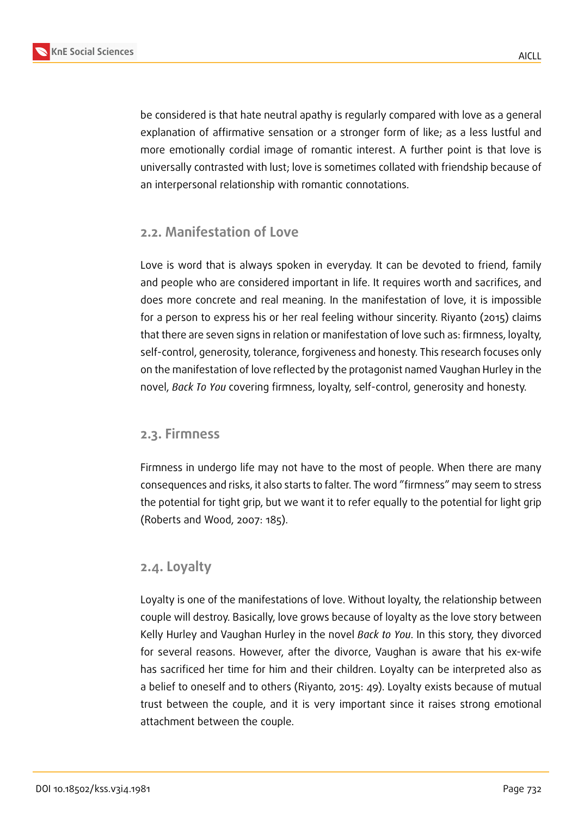

be considered is that hate neutral apathy is regularly compared with love as a general explanation of affirmative sensation or a stronger form of like; as a less lustful and more emotionally cordial image of romantic interest. A further point is that love is universally contrasted with lust; love is sometimes collated with friendship because of an interpersonal relationship with romantic connotations.

#### **2.2. Manifestation of Love**

Love is word that is always spoken in everyday. It can be devoted to friend, family and people who are considered important in life. It requires worth and sacrifices, and does more concrete and real meaning. In the manifestation of love, it is impossible for a person to express his or her real feeling withour sincerity. Riyanto (2015) claims that there are seven signs in relation or manifestation of love such as: firmness, loyalty, self-control, generosity, tolerance, forgiveness and honesty. This research focuses only on the manifestation of love reflected by the protagonist named Vaughan Hurley in the novel, *Back To You* covering firmness, loyalty, self-control, generosity and honesty.

#### **2.3. Firmness**

Firmness in undergo life may not have to the most of people. When there are many consequences and risks, it also starts to falter. The word "firmness" may seem to stress the potential for tight grip, but we want it to refer equally to the potential for light grip (Roberts and Wood, 2007: 185).

#### **2.4. Loyalty**

Loyalty is one of the manifestations of love. Without loyalty, the relationship between couple will destroy. Basically, love grows because of loyalty as the love story between Kelly Hurley and Vaughan Hurley in the novel *Back to You*. In this story, they divorced for several reasons. However, after the divorce, Vaughan is aware that his ex-wife has sacrificed her time for him and their children. Loyalty can be interpreted also as a belief to oneself and to others (Riyanto, 2015: 49). Loyalty exists because of mutual trust between the couple, and it is very important since it raises strong emotional attachment between the couple.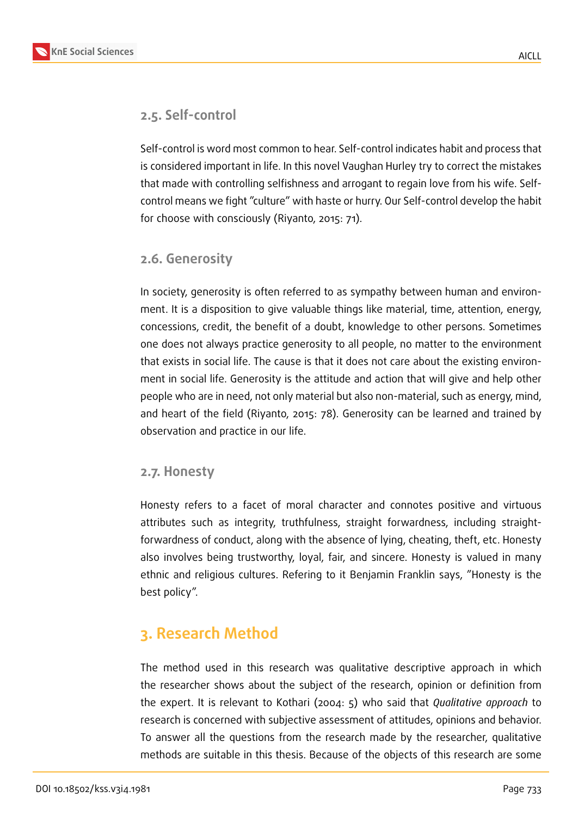### **2.5. Self-control**

Self-control is word most common to hear. Self-control indicates habit and process that is considered important in life. In this novel Vaughan Hurley try to correct the mistakes that made with controlling selfishness and arrogant to regain love from his wife. Selfcontrol means we fight "culture" with haste or hurry. Our Self-control develop the habit for choose with consciously (Riyanto, 2015: 71).

### **2.6. Generosity**

In society, generosity is often referred to as sympathy between human and environment. It is a disposition to give valuable things like material, time, attention, energy, concessions, credit, the benefit of a doubt, knowledge to other persons. Sometimes one does not always practice generosity to all people, no matter to the environment that exists in social life. The cause is that it does not care about the existing environment in social life. Generosity is the attitude and action that will give and help other people who are in need, not only material but also non-material, such as energy, mind, and heart of the field (Riyanto, 2015: 78). Generosity can be learned and trained by observation and practice in our life.

#### **2.7. Honesty**

Honesty refers to a facet of moral character and connotes positive and virtuous attributes such as integrity, truthfulness, straight forwardness, including straightforwardness of conduct, along with the absence of lying, cheating, theft, etc. Honesty also involves being trustworthy, loyal, fair, and sincere. Honesty is valued in many ethnic and religious cultures. Refering to it Benjamin Franklin says, "Honesty is the best policy".

## **3. Research Method**

The method used in this research was qualitative descriptive approach in which the researcher shows about the subject of the research, opinion or definition from the expert. It is relevant to Kothari (2004: 5) who said that *Qualitative approach* to research is concerned with subjective assessment of attitudes, opinions and behavior. To answer all the questions from the research made by the researcher, qualitative methods are suitable in this thesis. Because of the objects of this research are some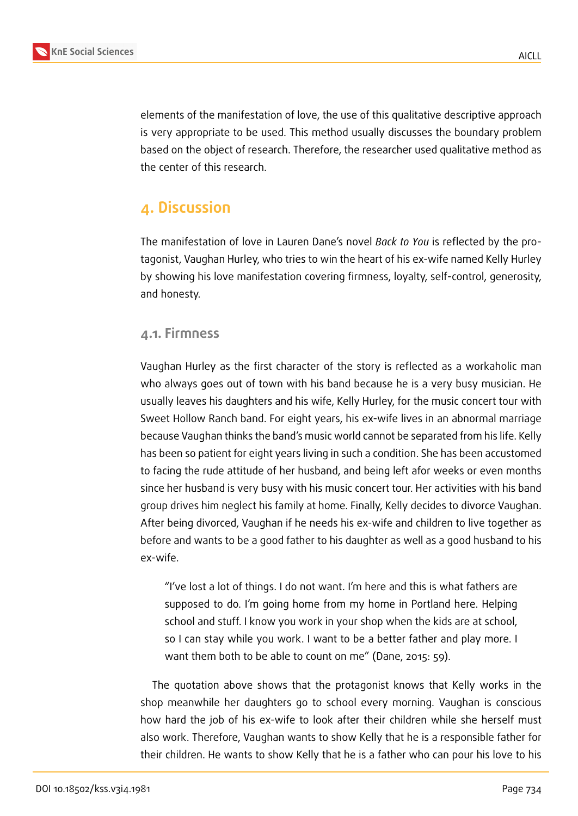

elements of the manifestation of love, the use of this qualitative descriptive approach is very appropriate to be used. This method usually discusses the boundary problem based on the object of research. Therefore, the researcher used qualitative method as the center of this research.

## **4. Discussion**

The manifestation of love in Lauren Dane's novel *Back to You* is reflected by the protagonist, Vaughan Hurley, who tries to win the heart of his ex-wife named Kelly Hurley by showing his love manifestation covering firmness, loyalty, self-control, generosity, and honesty.

### **4.1. Firmness**

Vaughan Hurley as the first character of the story is reflected as a workaholic man who always goes out of town with his band because he is a very busy musician. He usually leaves his daughters and his wife, Kelly Hurley, for the music concert tour with Sweet Hollow Ranch band. For eight years, his ex-wife lives in an abnormal marriage because Vaughan thinks the band's music world cannot be separated from his life. Kelly has been so patient for eight years living in such a condition. She has been accustomed to facing the rude attitude of her husband, and being left afor weeks or even months since her husband is very busy with his music concert tour. Her activities with his band group drives him neglect his family at home. Finally, Kelly decides to divorce Vaughan. After being divorced, Vaughan if he needs his ex-wife and children to live together as before and wants to be a good father to his daughter as well as a good husband to his ex-wife.

"I've lost a lot of things. I do not want. I'm here and this is what fathers are supposed to do. I'm going home from my home in Portland here. Helping school and stuff. I know you work in your shop when the kids are at school, so I can stay while you work. I want to be a better father and play more. I want them both to be able to count on me" (Dane, 2015: 59).

The quotation above shows that the protagonist knows that Kelly works in the shop meanwhile her daughters go to school every morning. Vaughan is conscious how hard the job of his ex-wife to look after their children while she herself must also work. Therefore, Vaughan wants to show Kelly that he is a responsible father for their children. He wants to show Kelly that he is a father who can pour his love to his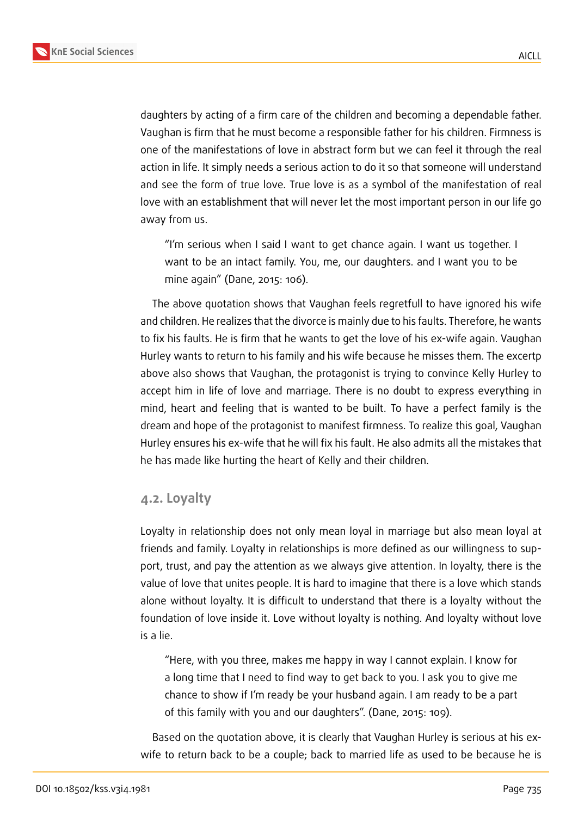

daughters by acting of a firm care of the children and becoming a dependable father. Vaughan is firm that he must become a responsible father for his children. Firmness is one of the manifestations of love in abstract form but we can feel it through the real action in life. It simply needs a serious action to do it so that someone will understand and see the form of true love. True love is as a symbol of the manifestation of real love with an establishment that will never let the most important person in our life go away from us.

"I'm serious when I said I want to get chance again. I want us together. I want to be an intact family. You, me, our daughters. and I want you to be mine again" (Dane, 2015: 106).

The above quotation shows that Vaughan feels regretfull to have ignored his wife and children. He realizes that the divorce is mainly due to his faults. Therefore, he wants to fix his faults. He is firm that he wants to get the love of his ex-wife again. Vaughan Hurley wants to return to his family and his wife because he misses them. The excertp above also shows that Vaughan, the protagonist is trying to convince Kelly Hurley to accept him in life of love and marriage. There is no doubt to express everything in mind, heart and feeling that is wanted to be built. To have a perfect family is the dream and hope of the protagonist to manifest firmness. To realize this goal, Vaughan Hurley ensures his ex-wife that he will fix his fault. He also admits all the mistakes that he has made like hurting the heart of Kelly and their children.

#### **4.2. Loyalty**

Loyalty in relationship does not only mean loyal in marriage but also mean loyal at friends and family. Loyalty in relationships is more defined as our willingness to support, trust, and pay the attention as we always give attention. In loyalty, there is the value of love that unites people. It is hard to imagine that there is a love which stands alone without loyalty. It is difficult to understand that there is a loyalty without the foundation of love inside it. Love without loyalty is nothing. And loyalty without love is a lie.

"Here, with you three, makes me happy in way I cannot explain. I know for a long time that I need to find way to get back to you. I ask you to give me chance to show if I'm ready be your husband again. I am ready to be a part of this family with you and our daughters". (Dane, 2015: 109).

Based on the quotation above, it is clearly that Vaughan Hurley is serious at his exwife to return back to be a couple; back to married life as used to be because he is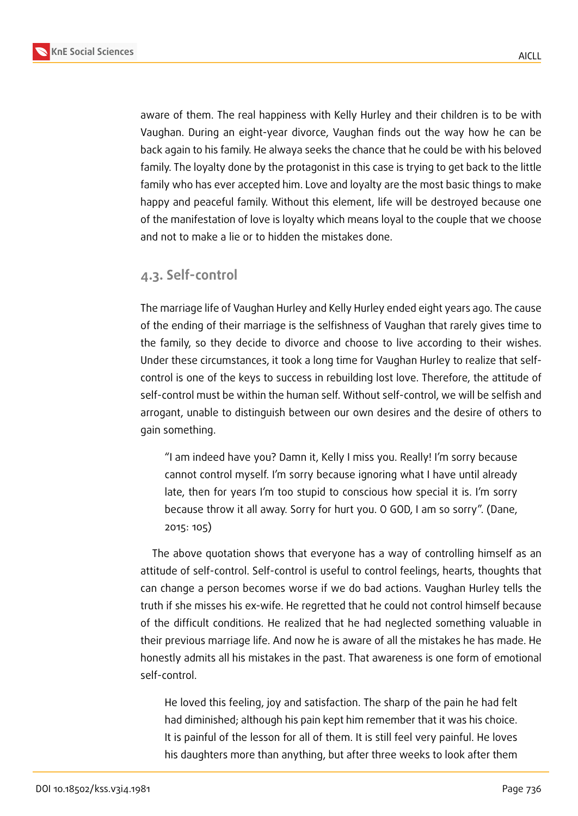

aware of them. The real happiness with Kelly Hurley and their children is to be with Vaughan. During an eight-year divorce, Vaughan finds out the way how he can be back again to his family. He alwaya seeks the chance that he could be with his beloved family. The loyalty done by the protagonist in this case is trying to get back to the little family who has ever accepted him. Love and loyalty are the most basic things to make happy and peaceful family. Without this element, life will be destroyed because one of the manifestation of love is loyalty which means loyal to the couple that we choose and not to make a lie or to hidden the mistakes done.

### **4.3. Self-control**

The marriage life of Vaughan Hurley and Kelly Hurley ended eight years ago. The cause of the ending of their marriage is the selfishness of Vaughan that rarely gives time to the family, so they decide to divorce and choose to live according to their wishes. Under these circumstances, it took a long time for Vaughan Hurley to realize that selfcontrol is one of the keys to success in rebuilding lost love. Therefore, the attitude of self-control must be within the human self. Without self-control, we will be selfish and arrogant, unable to distinguish between our own desires and the desire of others to gain something.

"I am indeed have you? Damn it, Kelly I miss you. Really! I'm sorry because cannot control myself. I'm sorry because ignoring what I have until already late, then for years I'm too stupid to conscious how special it is. I'm sorry because throw it all away. Sorry for hurt you. O GOD, I am so sorry". (Dane, 2015: 105)

The above quotation shows that everyone has a way of controlling himself as an attitude of self-control. Self-control is useful to control feelings, hearts, thoughts that can change a person becomes worse if we do bad actions. Vaughan Hurley tells the truth if she misses his ex-wife. He regretted that he could not control himself because of the difficult conditions. He realized that he had neglected something valuable in their previous marriage life. And now he is aware of all the mistakes he has made. He honestly admits all his mistakes in the past. That awareness is one form of emotional self-control.

He loved this feeling, joy and satisfaction. The sharp of the pain he had felt had diminished; although his pain kept him remember that it was his choice. It is painful of the lesson for all of them. It is still feel very painful. He loves his daughters more than anything, but after three weeks to look after them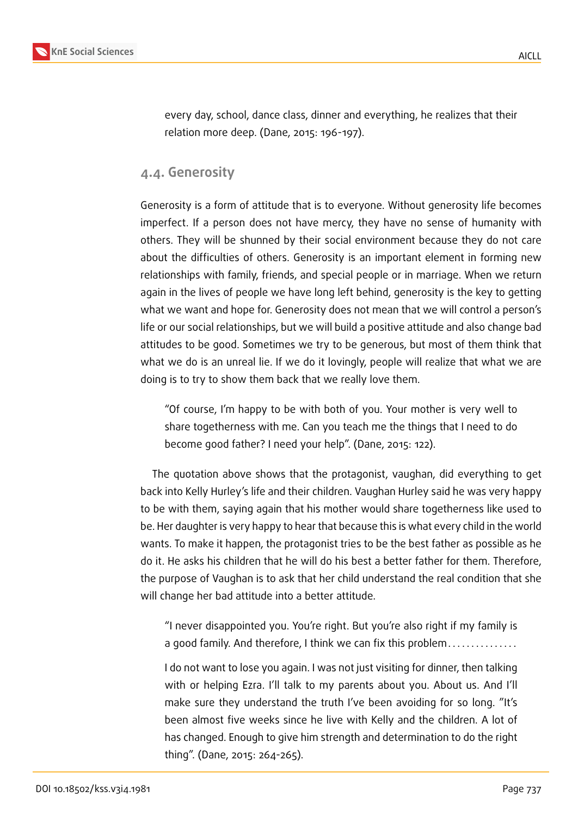

every day, school, dance class, dinner and everything, he realizes that their relation more deep. (Dane, 2015: 196-197).

### **4.4. Generosity**

Generosity is a form of attitude that is to everyone. Without generosity life becomes imperfect. If a person does not have mercy, they have no sense of humanity with others. They will be shunned by their social environment because they do not care about the difficulties of others. Generosity is an important element in forming new relationships with family, friends, and special people or in marriage. When we return again in the lives of people we have long left behind, generosity is the key to getting what we want and hope for. Generosity does not mean that we will control a person's life or our social relationships, but we will build a positive attitude and also change bad attitudes to be good. Sometimes we try to be generous, but most of them think that what we do is an unreal lie. If we do it lovingly, people will realize that what we are doing is to try to show them back that we really love them.

"Of course, I'm happy to be with both of you. Your mother is very well to share togetherness with me. Can you teach me the things that I need to do become good father? I need your help". (Dane, 2015: 122).

The quotation above shows that the protagonist, vaughan, did everything to get back into Kelly Hurley's life and their children. Vaughan Hurley said he was very happy to be with them, saying again that his mother would share togetherness like used to be. Her daughter is very happy to hear that because this is what every child in the world wants. To make it happen, the protagonist tries to be the best father as possible as he do it. He asks his children that he will do his best a better father for them. Therefore, the purpose of Vaughan is to ask that her child understand the real condition that she will change her bad attitude into a better attitude.

"I never disappointed you. You're right. But you're also right if my family is a good family. And therefore, I think we can fix this problem...............

I do not want to lose you again. I was not just visiting for dinner, then talking with or helping Ezra. I'll talk to my parents about you. About us. And I'll make sure they understand the truth I've been avoiding for so long. "It's been almost five weeks since he live with Kelly and the children. A lot of has changed. Enough to give him strength and determination to do the right thing". (Dane, 2015: 264-265).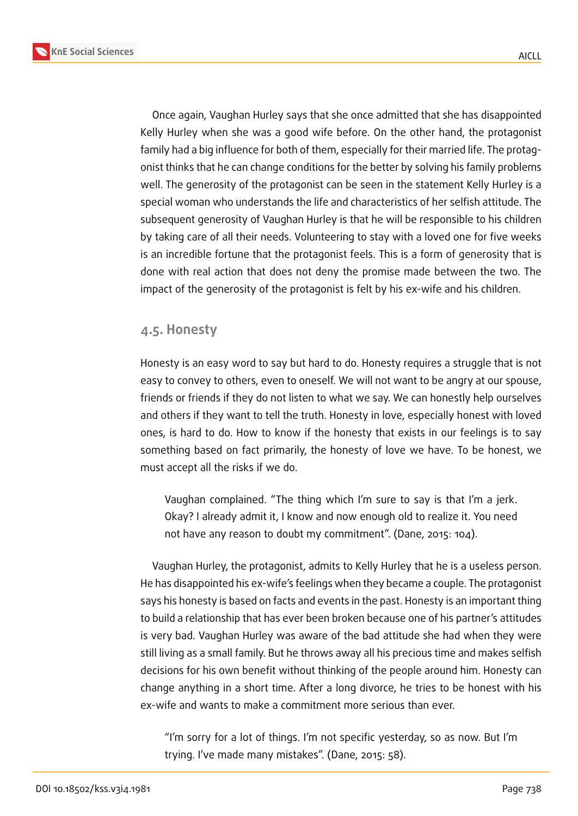

Once again, Vaughan Hurley says that she once admitted that she has disappointed Kelly Hurley when she was a good wife before. On the other hand, the protagonist family had a big influence for both of them, especially for their married life. The protagonist thinks that he can change conditions for the better by solving his family problems well. The generosity of the protagonist can be seen in the statement Kelly Hurley is a special woman who understands the life and characteristics of her selfish attitude. The subsequent generosity of Vaughan Hurley is that he will be responsible to his children by taking care of all their needs. Volunteering to stay with a loved one for five weeks is an incredible fortune that the protagonist feels. This is a form of generosity that is done with real action that does not deny the promise made between the two. The impact of the generosity of the protagonist is felt by his ex-wife and his children.

#### **4.5. Honesty**

Honesty is an easy word to say but hard to do. Honesty requires a struggle that is not easy to convey to others, even to oneself. We will not want to be angry at our spouse, friends or friends if they do not listen to what we say. We can honestly help ourselves and others if they want to tell the truth. Honesty in love, especially honest with loved ones, is hard to do. How to know if the honesty that exists in our feelings is to say something based on fact primarily, the honesty of love we have. To be honest, we must accept all the risks if we do.

Vaughan complained. "The thing which I'm sure to say is that I'm a jerk. Okay? I already admit it, I know and now enough old to realize it. You need not have any reason to doubt my commitment". (Dane, 2015: 104).

Vaughan Hurley, the protagonist, admits to Kelly Hurley that he is a useless person. He has disappointed his ex-wife's feelings when they became a couple. The protagonist says his honesty is based on facts and events in the past. Honesty is an important thing to build a relationship that has ever been broken because one of his partner's attitudes is very bad. Vaughan Hurley was aware of the bad attitude she had when they were still living as a small family. But he throws away all his precious time and makes selfish decisions for his own benefit without thinking of the people around him. Honesty can change anything in a short time. After a long divorce, he tries to be honest with his ex-wife and wants to make a commitment more serious than ever.

"I'm sorry for a lot of things. I'm not specific yesterday, so as now. But I'm trying. I've made many mistakes". (Dane, 2015: 58).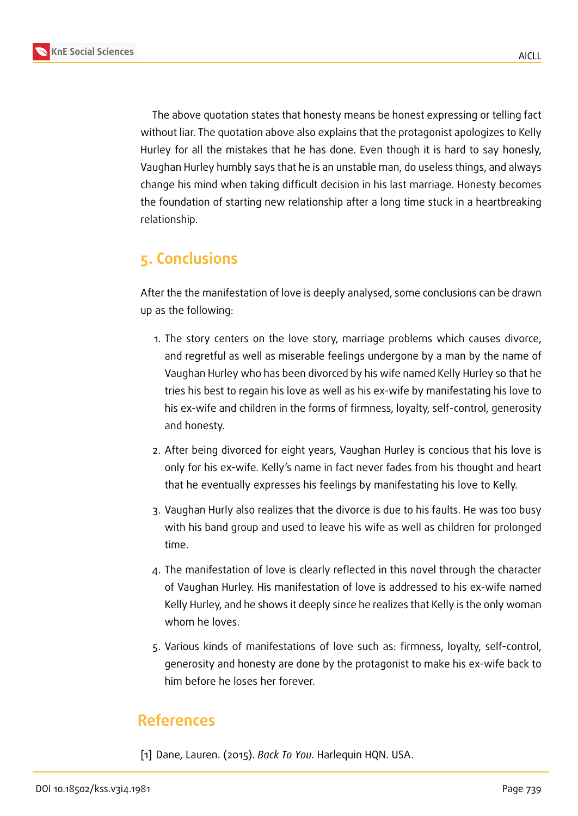



The above quotation states that honesty means be honest expressing or telling fact without liar. The quotation above also explains that the protagonist apologizes to Kelly Hurley for all the mistakes that he has done. Even though it is hard to say honesly, Vaughan Hurley humbly says that he is an unstable man, do useless things, and always change his mind when taking difficult decision in his last marriage. Honesty becomes the foundation of starting new relationship after a long time stuck in a heartbreaking relationship.

## **5. Conclusions**

After the the manifestation of love is deeply analysed, some conclusions can be drawn up as the following:

- 1. The story centers on the love story, marriage problems which causes divorce, and regretful as well as miserable feelings undergone by a man by the name of Vaughan Hurley who has been divorced by his wife named Kelly Hurley so that he tries his best to regain his love as well as his ex-wife by manifestating his love to his ex-wife and children in the forms of firmness, loyalty, self-control, generosity and honesty.
- 2. After being divorced for eight years, Vaughan Hurley is concious that his love is only for his ex-wife. Kelly's name in fact never fades from his thought and heart that he eventually expresses his feelings by manifestating his love to Kelly.
- 3. Vaughan Hurly also realizes that the divorce is due to his faults. He was too busy with his band group and used to leave his wife as well as children for prolonged time.
- 4. The manifestation of love is clearly reflected in this novel through the character of Vaughan Hurley. His manifestation of love is addressed to his ex-wife named Kelly Hurley, and he shows it deeply since he realizes that Kelly is the only woman whom he loves.
- 5. Various kinds of manifestations of love such as: firmness, loyalty, self-control, generosity and honesty are done by the protagonist to make his ex-wife back to him before he loses her forever.

## **References**

[1] Dane, Lauren. (2015). *Back To You*. Harlequin HQN. USA.